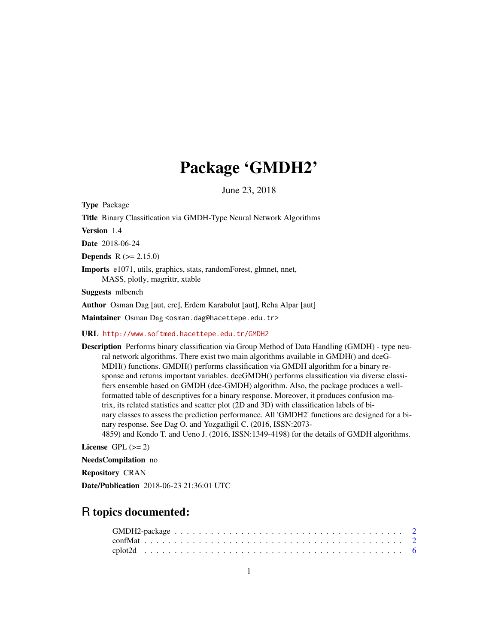## Package 'GMDH2'

June 23, 2018

<span id="page-0-0"></span>Type Package

Title Binary Classification via GMDH-Type Neural Network Algorithms

Version 1.4

Date 2018-06-24

**Depends**  $R (= 2.15.0)$ 

Imports e1071, utils, graphics, stats, randomForest, glmnet, nnet, MASS, plotly, magrittr, xtable

Suggests mlbench

Author Osman Dag [aut, cre], Erdem Karabulut [aut], Reha Alpar [aut]

Maintainer Osman Dag <osman.dag@hacettepe.edu.tr>

URL <http://www.softmed.hacettepe.edu.tr/GMDH2>

Description Performs binary classification via Group Method of Data Handling (GMDH) - type neural network algorithms. There exist two main algorithms available in GMDH() and dceG-MDH() functions. GMDH() performs classification via GMDH algorithm for a binary response and returns important variables. dceGMDH() performs classification via diverse classifiers ensemble based on GMDH (dce-GMDH) algorithm. Also, the package produces a wellformatted table of descriptives for a binary response. Moreover, it produces confusion matrix, its related statistics and scatter plot (2D and 3D) with classification labels of binary classes to assess the prediction performance. All 'GMDH2' functions are designed for a binary response. See Dag O. and Yozgatligil C. (2016, ISSN:2073- 4859) and Kondo T. and Ueno J. (2016, ISSN:1349-4198) for the details of GMDH algorithms.

License GPL  $(>= 2)$ 

NeedsCompilation no

Repository CRAN

Date/Publication 2018-06-23 21:36:01 UTC

### R topics documented: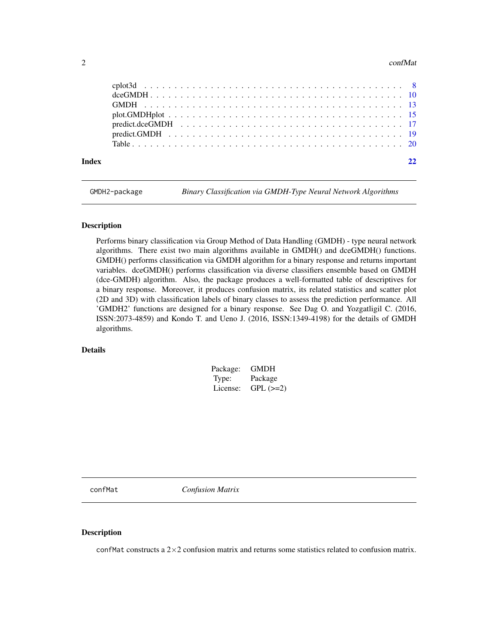#### <span id="page-1-0"></span> $2 \cos(\theta)$  conflat

| Index |  |
|-------|--|
|       |  |
|       |  |
|       |  |
|       |  |
|       |  |
|       |  |
|       |  |

GMDH2-package *Binary Classification via GMDH-Type Neural Network Algorithms*

#### Description

Performs binary classification via Group Method of Data Handling (GMDH) - type neural network algorithms. There exist two main algorithms available in GMDH() and dceGMDH() functions. GMDH() performs classification via GMDH algorithm for a binary response and returns important variables. dceGMDH() performs classification via diverse classifiers ensemble based on GMDH (dce-GMDH) algorithm. Also, the package produces a well-formatted table of descriptives for a binary response. Moreover, it produces confusion matrix, its related statistics and scatter plot (2D and 3D) with classification labels of binary classes to assess the prediction performance. All 'GMDH2' functions are designed for a binary response. See Dag O. and Yozgatligil C. (2016, ISSN:2073-4859) and Kondo T. and Ueno J. (2016, ISSN:1349-4198) for the details of GMDH algorithms.

#### Details

| Package: | GMDH       |
|----------|------------|
| Type:    | Package    |
| License: | $GPL (=2)$ |

confMat *Confusion Matrix*

#### Description

confMat constructs a 2×2 confusion matrix and returns some statistics related to confusion matrix.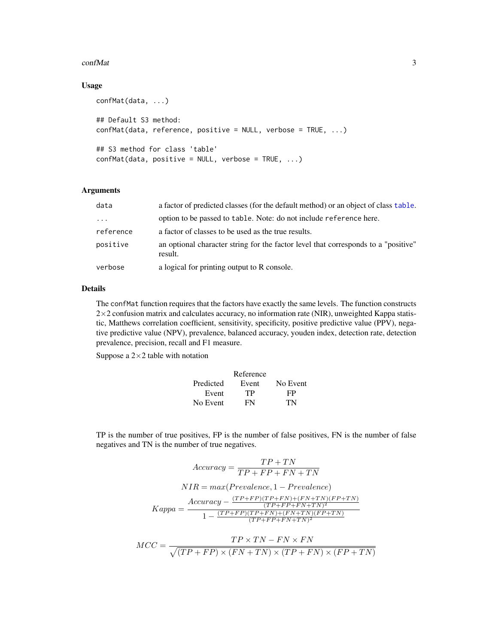#### <span id="page-2-0"></span>confMat 3

#### Usage

```
confMat(data, ...)
## Default S3 method:
confMat(data, reference, positive = NULL, verbose = TRUE, ...)
## S3 method for class 'table'
confMat(data, positive = NULL, verbose = TRUE, ...)
```
#### Arguments

| data      | a factor of predicted classes (for the default method) or an object of class table.           |
|-----------|-----------------------------------------------------------------------------------------------|
| $\cdot$   | option to be passed to table. Note: do not include reference here.                            |
| reference | a factor of classes to be used as the true results.                                           |
| positive  | an optional character string for the factor level that corresponds to a "positive"<br>result. |
| verbose   | a logical for printing output to R console.                                                   |

#### Details

The confMat function requires that the factors have exactly the same levels. The function constructs  $2\times2$  confusion matrix and calculates accuracy, no information rate (NIR), unweighted Kappa statistic, Matthews correlation coefficient, sensitivity, specificity, positive predictive value (PPV), negative predictive value (NPV), prevalence, balanced accuracy, youden index, detection rate, detection prevalence, precision, recall and F1 measure.

Suppose a  $2\times 2$  table with notation

|           | Reference |          |
|-----------|-----------|----------|
| Predicted | Event     | No Event |
| Event     | TР        | FP       |
| No Event  | FN        | TN       |

TP is the number of true positives, FP is the number of false positives, FN is the number of false negatives and TN is the number of true negatives.

$$
Accuracy = \frac{TP + TN}{TP + FP + FN + TN}
$$

$$
NIR = max(Prevalence, 1 - Prevalence)
$$

$$
Kappa = \frac{Accuracy - \frac{(TP + FP)(TP + FN) + (FN + TN)(FP + TN)}{(TP + FP + FN + TN)^2}}{1 - \frac{(TP + FP)(TP + FN) + (FN + TN)(FP + TN)}{(TP + FP + FN + TN)^2}}
$$

$$
MCC = \frac{TP \times TN - FN \times FN}{\sqrt{(TP + FP) \times (FN + TN) \times (TP + FN) \times (FP + TN)}}
$$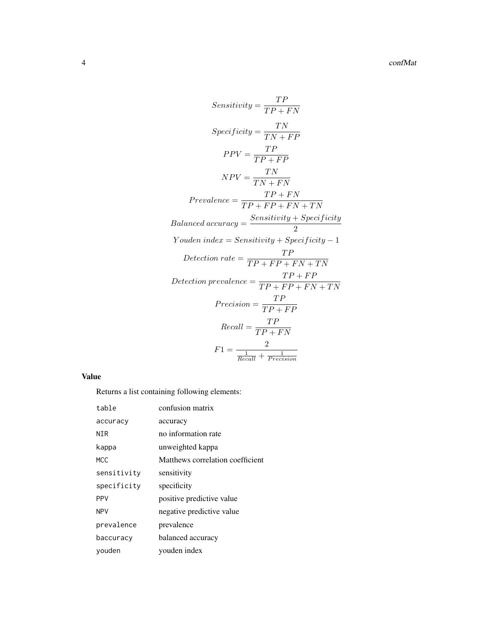$$
Sensitivity = \frac{TP}{TP + FN}
$$
\n
$$
Specificity = \frac{TN}{TN + FP}
$$
\n
$$
PPV = \frac{TP}{TP + FP}
$$
\n
$$
NPV = \frac{TN}{TN + FN}
$$
\n
$$
Prevalence = \frac{TP + FN}{TP + FP + FN + TN}
$$
\n
$$
Balanced accuracy = \frac{Sensitivity + Specificity}{2}
$$
\n
$$
Youden index = Sensitivity + Specificity - 1
$$
\n
$$
Detection rate = \frac{TP}{TP + FP + FN + TN}
$$
\n
$$
Detection\ prevalence = \frac{TP + FP}{TP + FP + FN + TN}
$$
\n
$$
Precision = \frac{TP}{TP + FP}
$$
\n
$$
Recall = \frac{TP}{TP + FN}
$$
\n
$$
F1 = \frac{2}{Recall + Precision}
$$

#### Value

Returns a list containing following elements:

| table       | confusion matrix                 |
|-------------|----------------------------------|
| accuracy    | accuracy                         |
| NTR         | no information rate              |
| kappa       | unweighted kappa                 |
| MCC.        | Matthews correlation coefficient |
| sensitivity | sensitivity                      |
| specificity | specificity                      |
| <b>PPV</b>  | positive predictive value        |
| <b>NPV</b>  | negative predictive value        |
| prevalence  | prevalence                       |
| baccuracy   | balanced accuracy                |
| youden      | vouden index                     |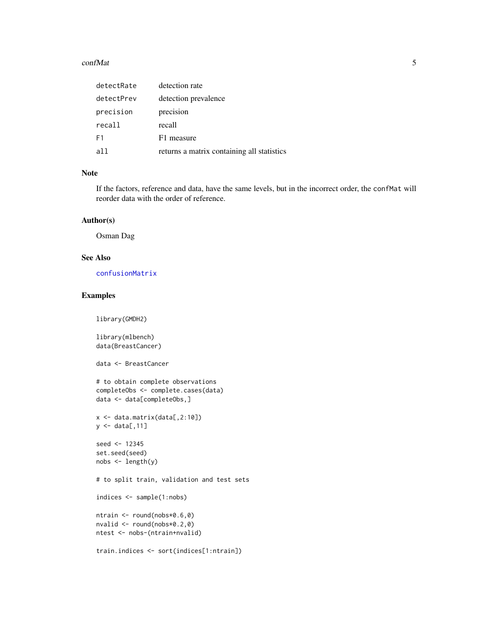#### <span id="page-4-0"></span>confMat 5

| detectRate     | detection rate                             |
|----------------|--------------------------------------------|
| detectPrev     | detection prevalence                       |
| precision      | precision                                  |
| recall         | recall                                     |
| F <sub>1</sub> | F1 measure                                 |
| all            | returns a matrix containing all statistics |

#### Note

If the factors, reference and data, have the same levels, but in the incorrect order, the confMat will reorder data with the order of reference.

#### Author(s)

Osman Dag

#### See Also

[confusionMatrix](#page-0-0)

#### Examples

library(GMDH2)

library(mlbench) data(BreastCancer)

data <- BreastCancer

```
# to obtain complete observations
completeObs <- complete.cases(data)
data <- data[completeObs,]
```
x <- data.matrix(data[,2:10])  $y \leftarrow \text{data}[, 11]$ 

```
seed <- 12345
set.seed(seed)
nobs <- length(y)
```
# to split train, validation and test sets

indices <- sample(1:nobs)

```
ntrain <- round(nobs*0.6,0)
nvalid <- round(nobs*0.2,0)
ntest <- nobs-(ntrain+nvalid)
```

```
train.indices <- sort(indices[1:ntrain])
```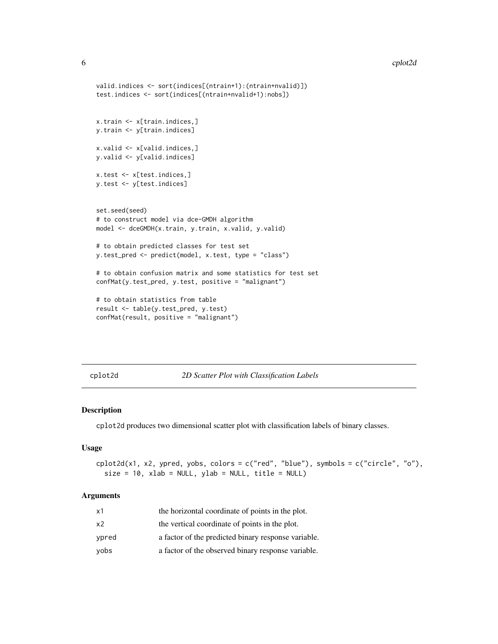```
valid.indices <- sort(indices[(ntrain+1):(ntrain+nvalid)])
test.indices <- sort(indices[(ntrain+nvalid+1):nobs])
x.train <- x[train.indices,]
y.train <- y[train.indices]
x.valid <- x[valid.indices,]
y.valid <- y[valid.indices]
x.test <- x[test.indices,]
y.test <- y[test.indices]
set.seed(seed)
# to construct model via dce-GMDH algorithm
model <- dceGMDH(x.train, y.train, x.valid, y.valid)
# to obtain predicted classes for test set
y.test_pred <- predict(model, x.test, type = "class")
# to obtain confusion matrix and some statistics for test set
confMat(y.test_pred, y.test, positive = "malignant")
# to obtain statistics from table
result <- table(y.test_pred, y.test)
confMat(result, positive = "malignant")
```
cplot2d *2D Scatter Plot with Classification Labels*

#### Description

cplot2d produces two dimensional scatter plot with classification labels of binary classes.

#### Usage

```
cplot2d(x1, x2, ypred, yobs, colors = c("red", "blue"), symbols = c("circle", "o"),
  size = 10, xlab = NULL, ylab = NULL, title = NULL
```
#### Arguments

| x1    | the horizontal coordinate of points in the plot.    |
|-------|-----------------------------------------------------|
| x2    | the vertical coordinate of points in the plot.      |
| vpred | a factor of the predicted binary response variable. |
| vobs  | a factor of the observed binary response variable.  |

<span id="page-5-0"></span>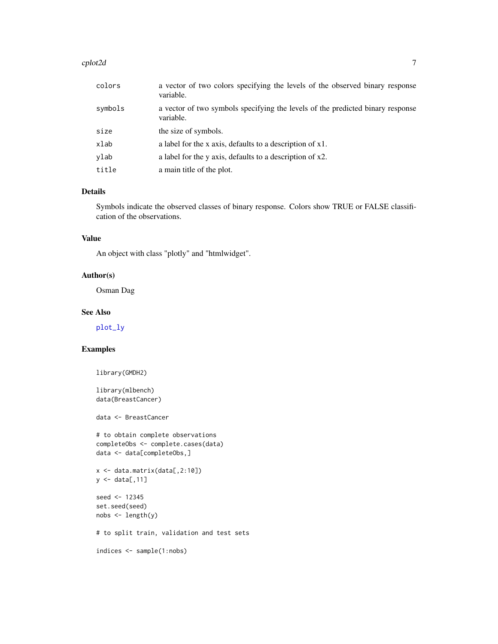#### <span id="page-6-0"></span>cplot2d **7**

| colors  | a vector of two colors specifying the levels of the observed binary response<br>variable.   |
|---------|---------------------------------------------------------------------------------------------|
| symbols | a vector of two symbols specifying the levels of the predicted binary response<br>variable. |
| size    | the size of symbols.                                                                        |
| xlab    | a label for the x axis, defaults to a description of x1.                                    |
| ylab    | a label for the y axis, defaults to a description of x2.                                    |
| title   | a main title of the plot.                                                                   |

#### Details

Symbols indicate the observed classes of binary response. Colors show TRUE or FALSE classification of the observations.

#### Value

An object with class "plotly" and "htmlwidget".

#### Author(s)

Osman Dag

#### See Also

[plot\\_ly](#page-0-0)

#### Examples

```
library(GMDH2)
```
library(mlbench) data(BreastCancer)

data <- BreastCancer

```
# to obtain complete observations
completeObs <- complete.cases(data)
data <- data[completeObs,]
```

```
x <- data.matrix(data[,2:10])
y <- data[,11]
seed <- 12345
```
set.seed(seed) nobs <- length(y)

# to split train, validation and test sets

```
indices <- sample(1:nobs)
```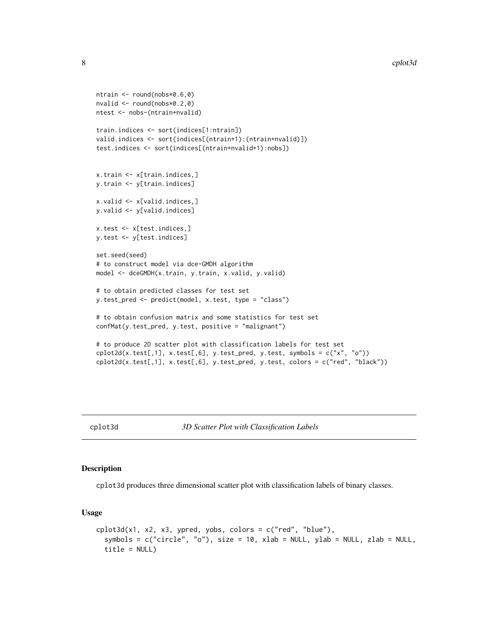```
ntrain <- round(nobs*0.6,0)
nvalid <- round(nobs*0.2,0)
ntest <- nobs-(ntrain+nvalid)
train.indices <- sort(indices[1:ntrain])
valid.indices <- sort(indices[(ntrain+1):(ntrain+nvalid)])
test.indices <- sort(indices[(ntrain+nvalid+1):nobs])
x.train <- x[train.indices,]
y.train <- y[train.indices]
x.valid <- x[valid.indices,]
y.valid <- y[valid.indices]
x.test <- x[test.indices,]
y.test <- y[test.indices]
set.seed(seed)
# to construct model via dce-GMDH algorithm
model <- dceGMDH(x.train, y.train, x.valid, y.valid)
# to obtain predicted classes for test set
y.test_pred <- predict(model, x.test, type = "class")
# to obtain confusion matrix and some statistics for test set
confMat(y.test_pred, y.test, positive = "malignant")
# to produce 2D scatter plot with classification labels for test set
\text{cplot2d}(x.\text{test[,1]}, x.\text{test[,6]}, y.\text{test\_pred}, y.\text{test}, symbols = c("x", "o"))cplot2d(x.test[,1], x.test[,6], y.test_pred, y.test, colors = c("red", "black"))
```

```
cplot3d 3D Scatter Plot with Classification Labels
```
#### Description

cplot3d produces three dimensional scatter plot with classification labels of binary classes.

#### Usage

```
cplot3d(x1, x2, x3, ypred, yobs, colors = c("red", "blue"),symbols = c("circle", "o"), size = 10, xlab = NULL, ylab = NULL, zlab = NULL,
  title = NULL)
```
<span id="page-7-0"></span>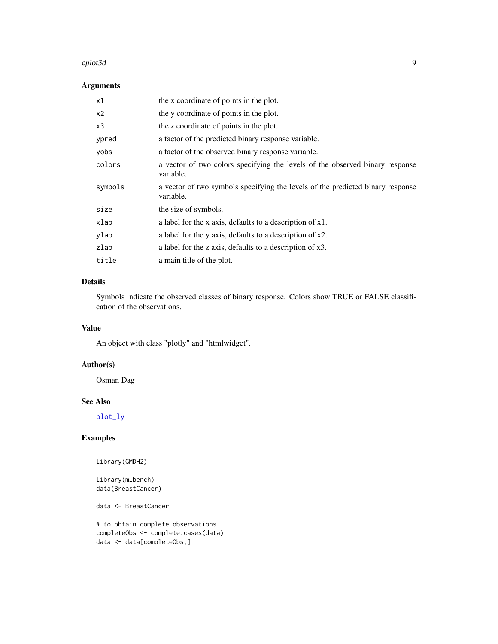#### <span id="page-8-0"></span>cplot3d 99 and 2012 12:00 point of the contract of the contract of the contract of the contract of the contract of the contract of the contract of the contract of the contract of the contract of the contract of the contrac

#### Arguments

| x1      | the x coordinate of points in the plot.                                                     |
|---------|---------------------------------------------------------------------------------------------|
| x2      | the y coordinate of points in the plot.                                                     |
| x3      | the z coordinate of points in the plot.                                                     |
| ypred   | a factor of the predicted binary response variable.                                         |
| yobs    | a factor of the observed binary response variable.                                          |
| colors  | a vector of two colors specifying the levels of the observed binary response<br>variable.   |
| symbols | a vector of two symbols specifying the levels of the predicted binary response<br>variable. |
| size    | the size of symbols.                                                                        |
| xlab    | a label for the x axis, defaults to a description of x1.                                    |
| ylab    | a label for the y axis, defaults to a description of x2.                                    |
| zlab    | a label for the z axis, defaults to a description of x3.                                    |
| title   | a main title of the plot.                                                                   |

#### Details

Symbols indicate the observed classes of binary response. Colors show TRUE or FALSE classification of the observations.

#### Value

An object with class "plotly" and "htmlwidget".

#### Author(s)

Osman Dag

#### See Also

[plot\\_ly](#page-0-0)

#### Examples

library(GMDH2)

library(mlbench) data(BreastCancer)

data <- BreastCancer

```
# to obtain complete observations
completeObs <- complete.cases(data)
data <- data[completeObs,]
```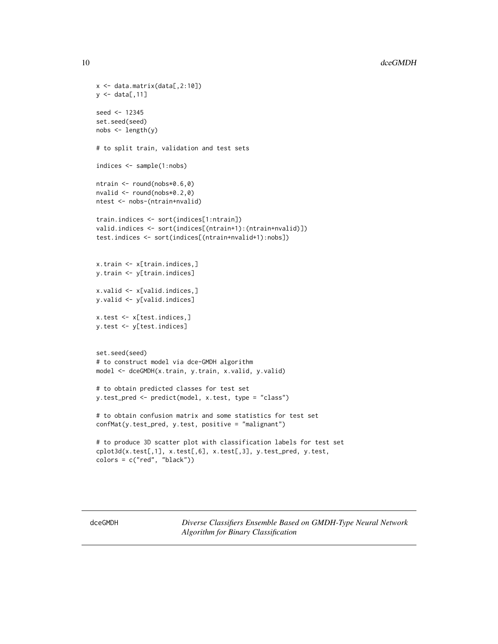```
x <- data.matrix(data[,2:10])
y \leftarrow data[, 11]seed <- 12345
set.seed(seed)
nobs <- length(y)
# to split train, validation and test sets
indices <- sample(1:nobs)
ntrain <- round(nobs*0.6,0)
nvalid <- round(nobs*0.2,0)
ntest <- nobs-(ntrain+nvalid)
train.indices <- sort(indices[1:ntrain])
valid.indices <- sort(indices[(ntrain+1):(ntrain+nvalid)])
test.indices <- sort(indices[(ntrain+nvalid+1):nobs])
x.train <- x[train.indices,]
y.train <- y[train.indices]
x.valid <- x[valid.indices,]
y.valid <- y[valid.indices]
x.test <- x[test.indices,]
y.test <- y[test.indices]
set.seed(seed)
# to construct model via dce-GMDH algorithm
model <- dceGMDH(x.train, y.train, x.valid, y.valid)
# to obtain predicted classes for test set
y.test_pred <- predict(model, x.test, type = "class")
# to obtain confusion matrix and some statistics for test set
confMat(y.test_pred, y.test, positive = "malignant")
# to produce 3D scatter plot with classification labels for test set
cplot3d(x.test[,1], x.test[,6], x.test[,3], y.test_pred, y.test,
colors = c("red", "black"))
```
<span id="page-9-1"></span>dceGMDH *Diverse Classifiers Ensemble Based on GMDH-Type Neural Network Algorithm for Binary Classification*

<span id="page-9-0"></span>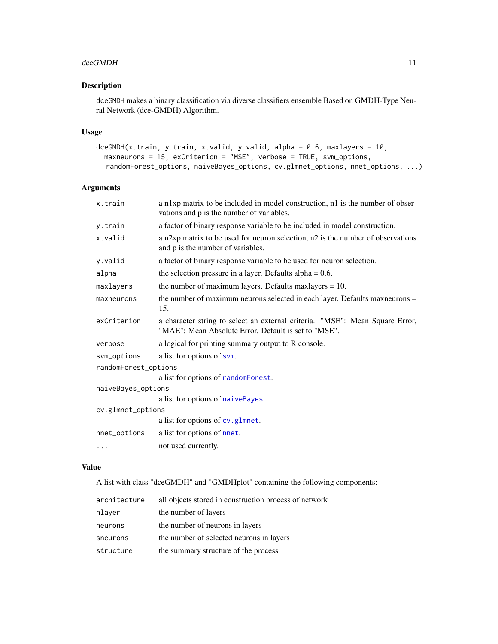#### <span id="page-10-0"></span>dceGMDH 11

#### Description

dceGMDH makes a binary classification via diverse classifiers ensemble Based on GMDH-Type Neural Network (dce-GMDH) Algorithm.

#### Usage

```
dceGMDH(x.train, y.train, x.valid, y.valid, alpha = 0.6, maxlayers = 10,
 maxneurons = 15, exCriterion = "MSE", verbose = TRUE, svm_options,
  randomForest_options, naiveBayes_options, cv.glmnet_options, nnet_options, ...)
```
#### Arguments

| x.train              | a n1xp matrix to be included in model construction, n1 is the number of obser-<br>vations and p is the number of variables.          |  |
|----------------------|--------------------------------------------------------------------------------------------------------------------------------------|--|
| y.train              | a factor of binary response variable to be included in model construction.                                                           |  |
| x.valid              | a n2xp matrix to be used for neuron selection, n2 is the number of observations<br>and p is the number of variables.                 |  |
| y.valid              | a factor of binary response variable to be used for neuron selection.                                                                |  |
| alpha                | the selection pressure in a layer. Defaults alpha $= 0.6$ .                                                                          |  |
| maxlayers            | the number of maximum layers. Defaults maxlayers $= 10$ .                                                                            |  |
| maxneurons           | the number of maximum neurons selected in each layer. Defaults maximum s<br>15.                                                      |  |
| exCriterion          | a character string to select an external criteria. "MSE": Mean Square Error,<br>"MAE": Mean Absolute Error. Default is set to "MSE". |  |
| verbose              | a logical for printing summary output to R console.                                                                                  |  |
| svm_options          | a list for options of svm.                                                                                                           |  |
| randomForest_options |                                                                                                                                      |  |
|                      | a list for options of randomForest.                                                                                                  |  |
| naiveBayes_options   |                                                                                                                                      |  |
|                      | a list for options of naiveBayes.                                                                                                    |  |
| cv.glmnet_options    |                                                                                                                                      |  |
|                      | a list for options of cv.glmnet.                                                                                                     |  |
| nnet_options         | a list for options of nnet.                                                                                                          |  |
| $\cdots$             | not used currently.                                                                                                                  |  |
|                      |                                                                                                                                      |  |

#### Value

A list with class "dceGMDH" and "GMDHplot" containing the following components:

| architecture | all objects stored in construction process of network |
|--------------|-------------------------------------------------------|
| nlayer       | the number of layers                                  |
| neurons      | the number of neurons in layers                       |
| sneurons     | the number of selected neurons in layers              |
| structure    | the summary structure of the process                  |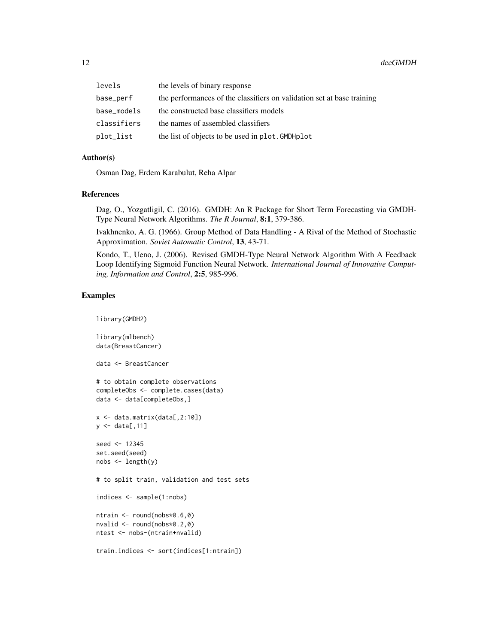#### 12 deed MDH

| levels      | the levels of binary response                                          |
|-------------|------------------------------------------------------------------------|
| base_perf   | the performances of the classifiers on validation set at base training |
| base_models | the constructed base classifiers models                                |
| classifiers | the names of assembled classifiers                                     |
| plot_list   | the list of objects to be used in plot. GMDHplot                       |

#### Author(s)

Osman Dag, Erdem Karabulut, Reha Alpar

#### References

Dag, O., Yozgatligil, C. (2016). GMDH: An R Package for Short Term Forecasting via GMDH-Type Neural Network Algorithms. *The R Journal*, 8:1, 379-386.

Ivakhnenko, A. G. (1966). Group Method of Data Handling - A Rival of the Method of Stochastic Approximation. *Soviet Automatic Control*, 13, 43-71.

Kondo, T., Ueno, J. (2006). Revised GMDH-Type Neural Network Algorithm With A Feedback Loop Identifying Sigmoid Function Neural Network. *International Journal of Innovative Computing, Information and Control*, 2:5, 985-996.

#### Examples

```
library(GMDH2)
library(mlbench)
data(BreastCancer)
data <- BreastCancer
# to obtain complete observations
completeObs <- complete.cases(data)
data <- data[completeObs,]
x <- data.matrix(data[,2:10])
y \leftarrow \text{data}[, 11]seed <- 12345
set.seed(seed)
nobs <- length(y)
# to split train, validation and test sets
indices <- sample(1:nobs)
ntrain <- round(nobs*0.6,0)
nvalid <- round(nobs*0.2,0)
ntest <- nobs-(ntrain+nvalid)
train.indices <- sort(indices[1:ntrain])
```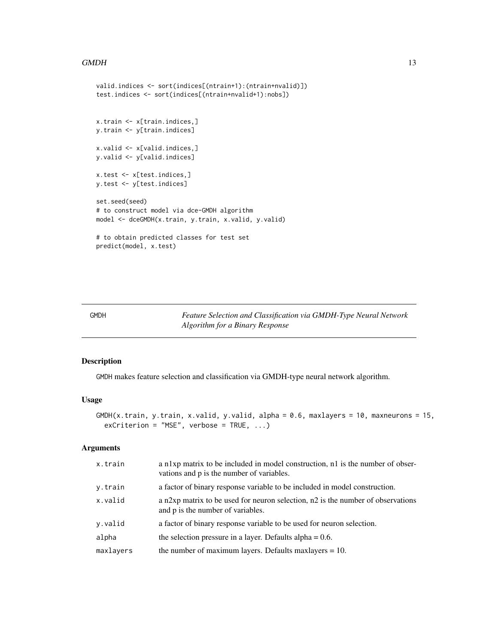#### <span id="page-12-0"></span> $GMDH$  13

```
valid.indices <- sort(indices[(ntrain+1):(ntrain+nvalid)])
test.indices <- sort(indices[(ntrain+nvalid+1):nobs])
x.train <- x[train.indices,]
y.train <- y[train.indices]
x.valid <- x[valid.indices,]
y.valid <- y[valid.indices]
x.test <- x[test.indices,]
y.test <- y[test.indices]
set.seed(seed)
# to construct model via dce-GMDH algorithm
model <- dceGMDH(x.train, y.train, x.valid, y.valid)
# to obtain predicted classes for test set
predict(model, x.test)
```
<span id="page-12-1"></span>GMDH *Feature Selection and Classification via GMDH-Type Neural Network Algorithm for a Binary Response*

#### Description

GMDH makes feature selection and classification via GMDH-type neural network algorithm.

#### Usage

```
GMDH(x.train, y.train, x.value, y.value, alpha = 0.6, maxlayers = 10, maxneurons = 15,exCriterion = "MSE", verbose = TRUE, ...)
```
#### Arguments

| x.train   | a n1xp matrix to be included in model construction, n1 is the number of obser-<br>vations and p is the number of variables. |
|-----------|-----------------------------------------------------------------------------------------------------------------------------|
| y.train   | a factor of binary response variable to be included in model construction.                                                  |
| x.valid   | a n2xp matrix to be used for neuron selection, n2 is the number of observations<br>and p is the number of variables.        |
| y.valid   | a factor of binary response variable to be used for neuron selection.                                                       |
| alpha     | the selection pressure in a layer. Defaults alpha $= 0.6$ .                                                                 |
| maxlayers | the number of maximum layers. Defaults maxlayers $= 10$ .                                                                   |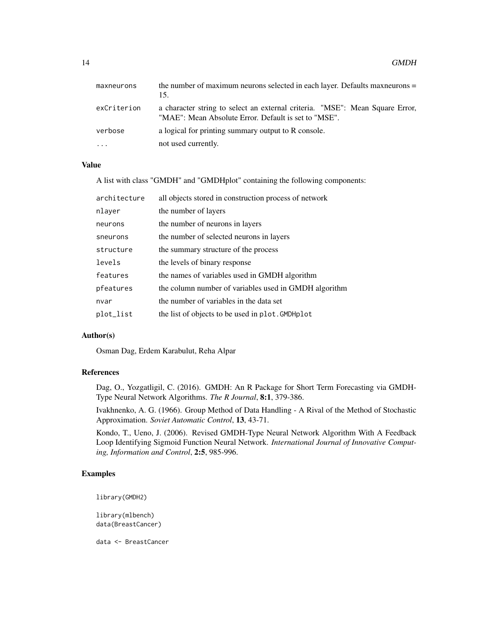| maxneurons  | the number of maximum neurons selected in each layer. Defaults maximum set<br>15.                                                    |
|-------------|--------------------------------------------------------------------------------------------------------------------------------------|
| exCriterion | a character string to select an external criteria. "MSE": Mean Square Error,<br>"MAE": Mean Absolute Error. Default is set to "MSE". |
| verbose     | a logical for printing summary output to R console.                                                                                  |
| $\cdots$    | not used currently.                                                                                                                  |

#### Value

A list with class "GMDH" and "GMDHplot" containing the following components:

| architecture | all objects stored in construction process of network |
|--------------|-------------------------------------------------------|
| nlayer       | the number of layers                                  |
| neurons      | the number of neurons in layers                       |
| sneurons     | the number of selected neurons in layers              |
| structure    | the summary structure of the process                  |
| levels       | the levels of binary response                         |
| features     | the names of variables used in GMDH algorithm         |
| pfeatures    | the column number of variables used in GMDH algorithm |
| nvar         | the number of variables in the data set               |
| plot_list    | the list of objects to be used in plot. GMDHplot      |

#### Author(s)

Osman Dag, Erdem Karabulut, Reha Alpar

#### References

Dag, O., Yozgatligil, C. (2016). GMDH: An R Package for Short Term Forecasting via GMDH-Type Neural Network Algorithms. *The R Journal*, 8:1, 379-386.

Ivakhnenko, A. G. (1966). Group Method of Data Handling - A Rival of the Method of Stochastic Approximation. *Soviet Automatic Control*, 13, 43-71.

Kondo, T., Ueno, J. (2006). Revised GMDH-Type Neural Network Algorithm With A Feedback Loop Identifying Sigmoid Function Neural Network. *International Journal of Innovative Computing, Information and Control*, 2:5, 985-996.

#### Examples

library(GMDH2)

library(mlbench) data(BreastCancer)

data <- BreastCancer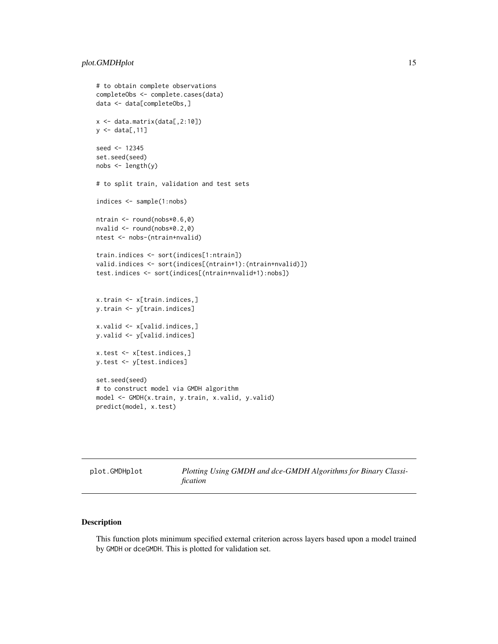```
# to obtain complete observations
completeObs <- complete.cases(data)
data <- data[completeObs,]
x <- data.matrix(data[,2:10])
y \leftarrow data[, 11]seed <- 12345
set.seed(seed)
nobs <- length(y)
# to split train, validation and test sets
indices <- sample(1:nobs)
ntrain <- round(nobs*0.6,0)
nvalid <- round(nobs*0.2,0)
ntest <- nobs-(ntrain+nvalid)
train.indices <- sort(indices[1:ntrain])
valid.indices <- sort(indices[(ntrain+1):(ntrain+nvalid)])
test.indices <- sort(indices[(ntrain+nvalid+1):nobs])
x.train <- x[train.indices,]
y.train <- y[train.indices]
x.valid <- x[valid.indices,]
y.valid <- y[valid.indices]
x.test <- x[test.indices,]
y.test <- y[test.indices]
set.seed(seed)
# to construct model via GMDH algorithm
model <- GMDH(x.train, y.train, x.valid, y.valid)
predict(model, x.test)
```
plot.GMDHplot *Plotting Using GMDH and dce-GMDH Algorithms for Binary Classification*

#### Description

This function plots minimum specified external criterion across layers based upon a model trained by GMDH or dceGMDH. This is plotted for validation set.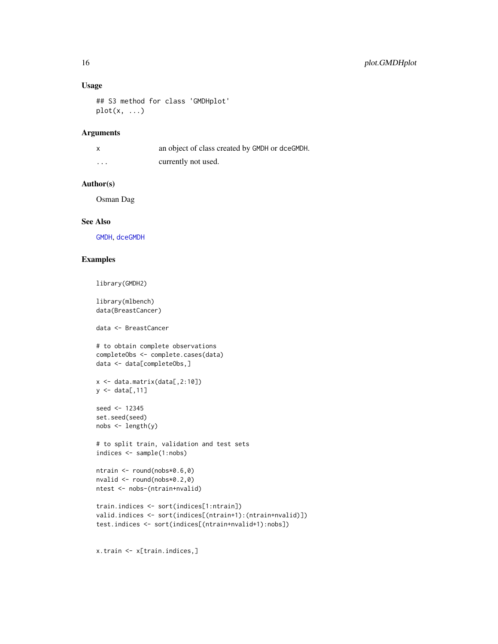#### <span id="page-15-0"></span>Usage

```
## S3 method for class 'GMDHplot'
plot(x, \ldots)
```
#### Arguments

| $\boldsymbol{\mathsf{x}}$ | an object of class created by GMDH or dceGMDH. |
|---------------------------|------------------------------------------------|
| .                         | currently not used.                            |

#### Author(s)

Osman Dag

#### See Also

[GMDH](#page-12-1), [dceGMDH](#page-9-1)

#### Examples

```
library(GMDH2)
```
library(mlbench) data(BreastCancer)

data <- BreastCancer

```
# to obtain complete observations
completeObs <- complete.cases(data)
data <- data[completeObs,]
```

```
x <- data.matrix(data[,2:10])
y \leftarrow \text{data}[, 11]
```

```
seed <- 12345
set.seed(seed)
nobs \leftarrow length(y)
```

```
# to split train, validation and test sets
indices <- sample(1:nobs)
```

```
ntrain <- round(nobs*0.6,0)
nvalid <- round(nobs*0.2,0)
ntest <- nobs-(ntrain+nvalid)
```

```
train.indices <- sort(indices[1:ntrain])
valid.indices <- sort(indices[(ntrain+1):(ntrain+nvalid)])
test.indices <- sort(indices[(ntrain+nvalid+1):nobs])
```

```
x.train <- x[train.indices,]
```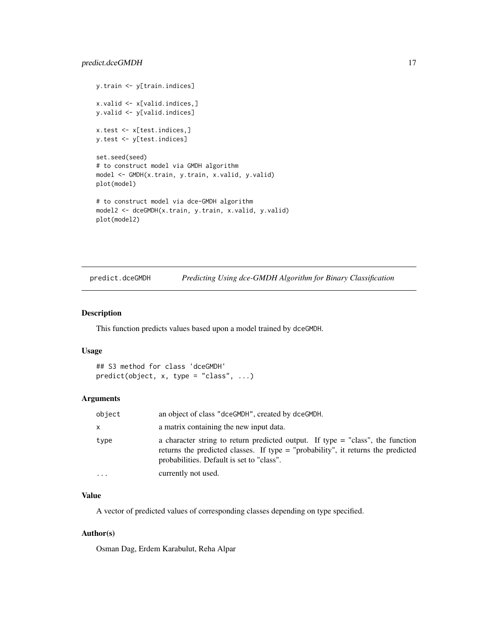```
y.train <- y[train.indices]
x.valid <- x[valid.indices,]
y.valid <- y[valid.indices]
x.test <- x[test.indices,]
y.test <- y[test.indices]
set.seed(seed)
# to construct model via GMDH algorithm
model <- GMDH(x.train, y.train, x.valid, y.valid)
plot(model)
# to construct model via dce-GMDH algorithm
model2 <- dceGMDH(x.train, y.train, x.valid, y.valid)
plot(model2)
```
predict.dceGMDH *Predicting Using dce-GMDH Algorithm for Binary Classification*

#### Description

This function predicts values based upon a model trained by dceGMDH.

#### Usage

```
## S3 method for class 'dceGMDH'
predict(object, x, type = "class", ...)
```
#### Arguments

| object | an object of class "dceGMDH", created by dceGMDH.                                                                                                                                                                 |
|--------|-------------------------------------------------------------------------------------------------------------------------------------------------------------------------------------------------------------------|
| x.     | a matrix containing the new input data.                                                                                                                                                                           |
| type   | a character string to return predicted output. If type $=$ "class", the function<br>returns the predicted classes. If type = "probability", it returns the predicted<br>probabilities. Default is set to "class". |
| .      | currently not used.                                                                                                                                                                                               |

#### Value

A vector of predicted values of corresponding classes depending on type specified.

#### Author(s)

Osman Dag, Erdem Karabulut, Reha Alpar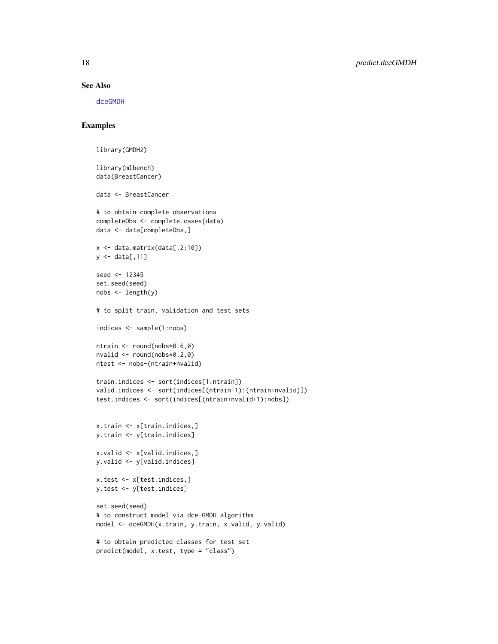#### See Also

[dceGMDH](#page-9-1)

#### Examples

```
library(GMDH2)
library(mlbench)
data(BreastCancer)
data <- BreastCancer
# to obtain complete observations
completeObs <- complete.cases(data)
data <- data[completeObs,]
x \leftarrow data.matrix(data[,2:10])
y \leftarrow data[, 11]seed <- 12345
set.seed(seed)
nobs <- length(y)
# to split train, validation and test sets
indices <- sample(1:nobs)
ntrain <- round(nobs*0.6,0)
nvalid <- round(nobs*0.2,0)
ntest <- nobs-(ntrain+nvalid)
train.indices <- sort(indices[1:ntrain])
valid.indices <- sort(indices[(ntrain+1):(ntrain+nvalid)])
test.indices <- sort(indices[(ntrain+nvalid+1):nobs])
x.train <- x[train.indices,]
y.train <- y[train.indices]
x.valid <- x[valid.indices,]
y.valid <- y[valid.indices]
x.test <- x[test.indices,]
y.test <- y[test.indices]
set.seed(seed)
# to construct model via dce-GMDH algorithm
model <- dceGMDH(x.train, y.train, x.valid, y.valid)
# to obtain predicted classes for test set
predict(model, x.test, type = "class")
```
<span id="page-17-0"></span>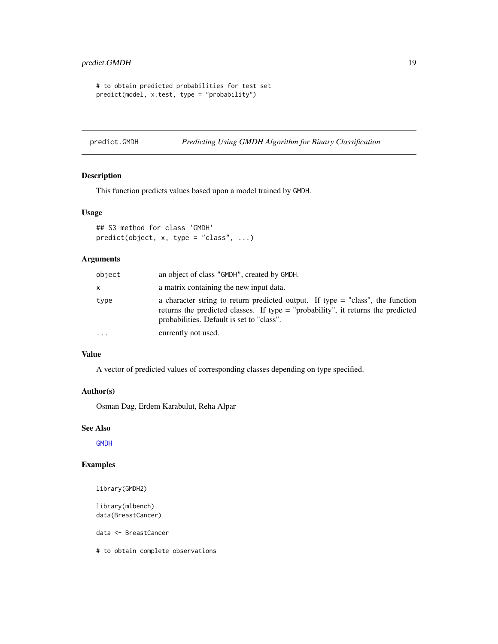```
# to obtain predicted probabilities for test set
predict(model, x.test, type = "probability")
```
predict.GMDH *Predicting Using GMDH Algorithm for Binary Classification*

#### Description

This function predicts values based upon a model trained by GMDH.

#### Usage

```
## S3 method for class 'GMDH'
predict(object, x, type = "class", ...)
```
#### Arguments

| object | an object of class "GMDH", created by GMDH.                                                                                                                                                                       |
|--------|-------------------------------------------------------------------------------------------------------------------------------------------------------------------------------------------------------------------|
| x      | a matrix containing the new input data.                                                                                                                                                                           |
| type   | a character string to return predicted output. If type $=$ "class", the function<br>returns the predicted classes. If type = "probability", it returns the predicted<br>probabilities. Default is set to "class". |
| .      | currently not used.                                                                                                                                                                                               |

#### Value

A vector of predicted values of corresponding classes depending on type specified.

#### Author(s)

Osman Dag, Erdem Karabulut, Reha Alpar

#### See Also

**[GMDH](#page-12-1)** 

#### Examples

library(GMDH2)

library(mlbench) data(BreastCancer)

data <- BreastCancer

# to obtain complete observations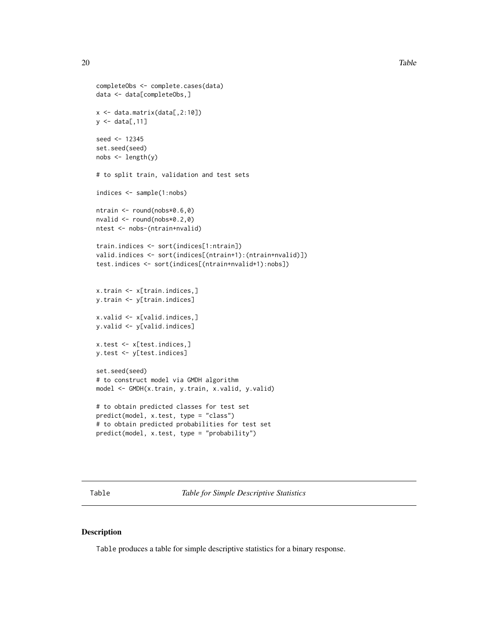```
completeObs <- complete.cases(data)
data <- data[completeObs,]
x <- data.matrix(data[,2:10])
y \leftarrow data[, 11]seed <- 12345
set.seed(seed)
nobs < - length(y)
# to split train, validation and test sets
indices <- sample(1:nobs)
ntrain <- round(nobs*0.6,0)
nvalid <- round(nobs*0.2,0)
ntest <- nobs-(ntrain+nvalid)
train.indices <- sort(indices[1:ntrain])
valid.indices <- sort(indices[(ntrain+1):(ntrain+nvalid)])
test.indices <- sort(indices[(ntrain+nvalid+1):nobs])
x.train <- x[train.indices,]
y.train <- y[train.indices]
x.valid <- x[valid.indices,]
y.valid <- y[valid.indices]
x.test <- x[test.indices,]
y.test <- y[test.indices]
set.seed(seed)
# to construct model via GMDH algorithm
model <- GMDH(x.train, y.train, x.valid, y.valid)
# to obtain predicted classes for test set
predict(model, x.test, type = "class")
# to obtain predicted probabilities for test set
predict(model, x.test, type = "probability")
```
Table *Table for Simple Descriptive Statistics*

#### Description

Table produces a table for simple descriptive statistics for a binary response.

<span id="page-19-0"></span>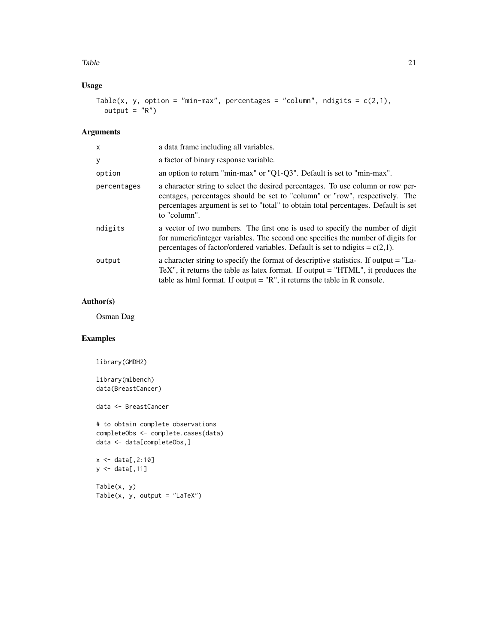#### Table 21

#### Usage

```
Table(x, y, option = "min-max", percentages = "column", ndigits = c(2,1),
 output = "R")
```
#### Arguments

| $\times$    | a data frame including all variables.                                                                                                                                                                                                                                |
|-------------|----------------------------------------------------------------------------------------------------------------------------------------------------------------------------------------------------------------------------------------------------------------------|
| y           | a factor of binary response variable.                                                                                                                                                                                                                                |
| option      | an option to return "min-max" or "Q1-Q3". Default is set to "min-max".                                                                                                                                                                                               |
| percentages | a character string to select the desired percentages. To use column or row per-<br>centages, percentages should be set to "column" or "row", respectively. The<br>percentages argument is set to "total" to obtain total percentages. Default is set<br>to "column". |
| ndigits     | a vector of two numbers. The first one is used to specify the number of digit<br>for numeric/integer variables. The second one specifies the number of digits for<br>percentages of factor/ordered variables. Default is set to ndigits = $c(2,1)$ .                 |
| output      | a character string to specify the format of descriptive statistics. If output = "La-<br>TeX", it returns the table as latex format. If output $=$ "HTML", it produces the<br>table as html format. If output $=$ "R", it returns the table in R console.             |

#### Author(s)

Osman Dag

#### Examples

library(GMDH2)

library(mlbench) data(BreastCancer)

data <- BreastCancer

# to obtain complete observations completeObs <- complete.cases(data) data <- data[completeObs,]

```
x \le - data[,2:10]
y <- data[,11]
```
Table(x, y)  $Table(x, y, output = "LaTeX")$